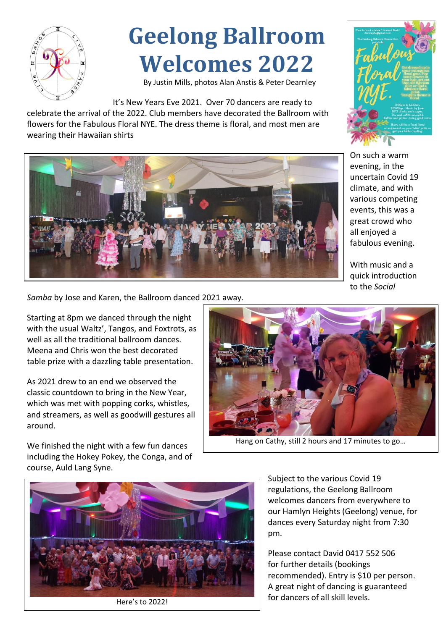

## **Geelong Ballroom Welcomes 2022**

By Justin Mills, photos Alan Anstis & Peter Dearnley

It's New Years Eve 2021. Over 70 dancers are ready to celebrate the arrival of the 2022. Club members have decorated the Ballroom with flowers for the Fabulous Floral NYE. The dress theme is floral, and most men are wearing their Hawaiian shirts



On such a warm evening, in the uncertain Covid 19 climate, and with various competing events, this was a great crowd who all enjoyed a fabulous evening.

With music and a quick introduction to the *Social* 

*Samba* by Jose and Karen, the Ballroom danced 2021 away.

Starting at 8pm we danced through the night with the usual Waltz', Tangos, and Foxtrots, as well as all the traditional ballroom dances. Meena and Chris won the best decorated table prize with a dazzling table presentation.

As 2021 drew to an end we observed the classic countdown to bring in the New Year, which was met with popping corks, whistles, and streamers, as well as goodwill gestures all around.



Hang on Cathy, still 2 hours and 17 minutes to go…

We finished the night with a few fun dances including the Hokey Pokey, the Conga, and of course, Auld Lang Syne.



Subject to the various Covid 19 regulations, the Geelong Ballroom welcomes dancers from everywhere to our Hamlyn Heights (Geelong) venue, for dances every Saturday night from 7:30 pm.

Please contact David 0417 552 506 for further details (bookings recommended). Entry is \$10 per person. A great night of dancing is guaranteed